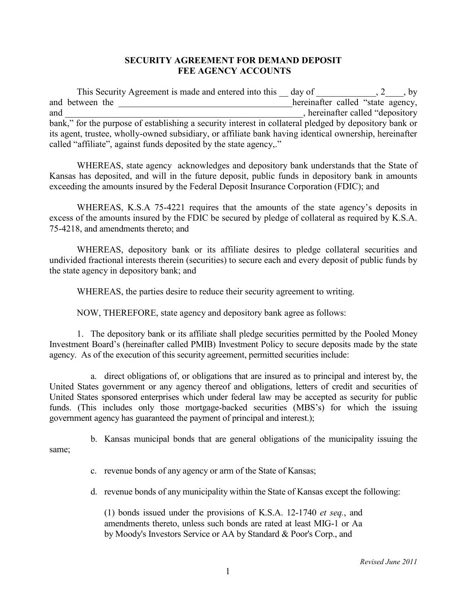## **SECURITY AGREEMENT FOR DEMAND DEPOSIT FEE AGENCY ACCOUNTS**

This Security Agreement is made and entered into this  $\_\_$  day of  $\_\_$ , 2, by and between the **example 2** and between the **and state** agency, and and  $\blacksquare$ , hereinafter called "depository" bank," for the purpose of establishing a security interest in collateral pledged by depository bank or its agent, trustee, wholly-owned subsidiary, or affiliate bank having identical ownership, hereinafter called "affiliate", against funds deposited by the state agency,."

WHEREAS, state agency acknowledges and depository bank understands that the State of Kansas has deposited, and will in the future deposit, public funds in depository bank in amounts exceeding the amounts insured by the Federal Deposit Insurance Corporation (FDIC); and

WHEREAS, K.S.A 75-4221 requires that the amounts of the state agency's deposits in excess of the amounts insured by the FDIC be secured by pledge of collateral as required by K.S.A. 75-4218, and amendments thereto; and

WHEREAS, depository bank or its affiliate desires to pledge collateral securities and undivided fractional interests therein (securities) to secure each and every deposit of public funds by the state agency in depository bank; and

WHEREAS, the parties desire to reduce their security agreement to writing.

NOW, THEREFORE, state agency and depository bank agree as follows:

1. The depository bank or its affiliate shall pledge securities permitted by the Pooled Money Investment Board's (hereinafter called PMIB) Investment Policy to secure deposits made by the state agency. As of the execution of this security agreement, permitted securities include:

a. direct obligations of, or obligations that are insured as to principal and interest by, the United States government or any agency thereof and obligations, letters of credit and securities of United States sponsored enterprises which under federal law may be accepted as security for public funds. (This includes only those mortgage-backed securities (MBS's) for which the issuing government agency has guaranteed the payment of principal and interest.);

b. Kansas municipal bonds that are general obligations of the municipality issuing the same;

c. revenue bonds of any agency or arm of the State of Kansas;

d. revenue bonds of any municipality within the State of Kansas except the following:

(1) bonds issued under the provisions of K.S.A. 12-1740 *et seq.*, and amendments thereto, unless such bonds are rated at least MIG-1 or Aa by Moody's Investors Service or AA by Standard & Poor's Corp., and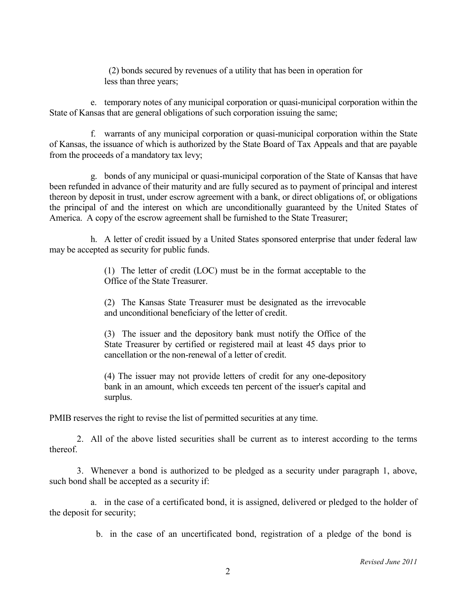(2) bonds secured by revenues of a utility that has been in operation for less than three years;

e. temporary notes of any municipal corporation or quasi-municipal corporation within the State of Kansas that are general obligations of such corporation issuing the same;

f. warrants of any municipal corporation or quasi-municipal corporation within the State of Kansas, the issuance of which is authorized by the State Board of Tax Appeals and that are payable from the proceeds of a mandatory tax levy;

g. bonds of any municipal or quasi-municipal corporation of the State of Kansas that have been refunded in advance of their maturity and are fully secured as to payment of principal and interest thereon by deposit in trust, under escrow agreement with a bank, or direct obligations of, or obligations the principal of and the interest on which are unconditionally guaranteed by the United States of America. A copy of the escrow agreement shall be furnished to the State Treasurer;

h. A letter of credit issued by a United States sponsored enterprise that under federal law may be accepted as security for public funds.

> (1) The letter of credit (LOC) must be in the format acceptable to the Office of the State Treasurer.

> (2) The Kansas State Treasurer must be designated as the irrevocable and unconditional beneficiary of the letter of credit.

> (3) The issuer and the depository bank must notify the Office of the State Treasurer by certified or registered mail at least 45 days prior to cancellation or the non-renewal of a letter of credit.

> (4) The issuer may not provide letters of credit for any one-depository bank in an amount, which exceeds ten percent of the issuer's capital and surplus.

PMIB reserves the right to revise the list of permitted securities at any time.

2. All of the above listed securities shall be current as to interest according to the terms thereof.

3. Whenever a bond is authorized to be pledged as a security under paragraph 1, above, such bond shall be accepted as a security if:

a. in the case of a certificated bond, it is assigned, delivered or pledged to the holder of the deposit for security;

b. in the case of an uncertificated bond, registration of a pledge of the bond is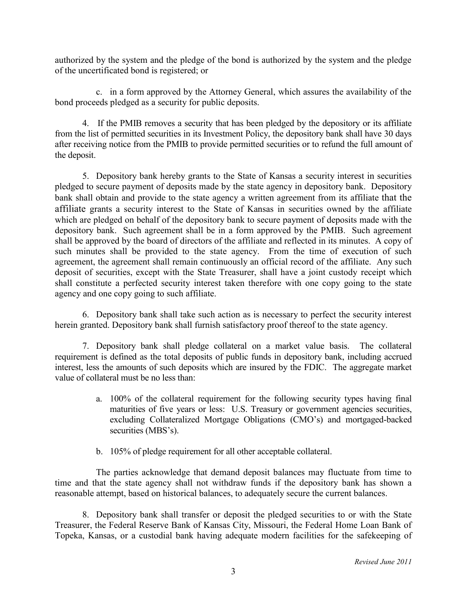authorized by the system and the pledge of the bond is authorized by the system and the pledge of the uncertificated bond is registered; or

c. in a form approved by the Attorney General, which assures the availability of the bond proceeds pledged as a security for public deposits.

4. If the PMIB removes a security that has been pledged by the depository or its affiliate from the list of permitted securities in its Investment Policy, the depository bank shall have 30 days after receiving notice from the PMIB to provide permitted securities or to refund the full amount of the deposit.

5. Depository bank hereby grants to the State of Kansas a security interest in securities pledged to secure payment of deposits made by the state agency in depository bank. Depository bank shall obtain and provide to the state agency a written agreement from its affiliate that the affiliate grants a security interest to the State of Kansas in securities owned by the affiliate which are pledged on behalf of the depository bank to secure payment of deposits made with the depository bank. Such agreement shall be in a form approved by the PMIB. Such agreement shall be approved by the board of directors of the affiliate and reflected in its minutes. A copy of such minutes shall be provided to the state agency. From the time of execution of such agreement, the agreement shall remain continuously an official record of the affiliate. Any such deposit of securities, except with the State Treasurer, shall have a joint custody receipt which shall constitute a perfected security interest taken therefore with one copy going to the state agency and one copy going to such affiliate.

6. Depository bank shall take such action as is necessary to perfect the security interest herein granted. Depository bank shall furnish satisfactory proof thereof to the state agency.

7. Depository bank shall pledge collateral on a market value basis. The collateral requirement is defined as the total deposits of public funds in depository bank, including accrued interest, less the amounts of such deposits which are insured by the FDIC. The aggregate market value of collateral must be no less than:

- a. 100% of the collateral requirement for the following security types having final maturities of five years or less: U.S. Treasury or government agencies securities, excluding Collateralized Mortgage Obligations (CMO's) and mortgaged-backed securities (MBS's).
- b. 105% of pledge requirement for all other acceptable collateral.

The parties acknowledge that demand deposit balances may fluctuate from time to time and that the state agency shall not withdraw funds if the depository bank has shown a reasonable attempt, based on historical balances, to adequately secure the current balances.

8. Depository bank shall transfer or deposit the pledged securities to or with the State Treasurer, the Federal Reserve Bank of Kansas City, Missouri, the Federal Home Loan Bank of Topeka, Kansas, or a custodial bank having adequate modern facilities for the safekeeping of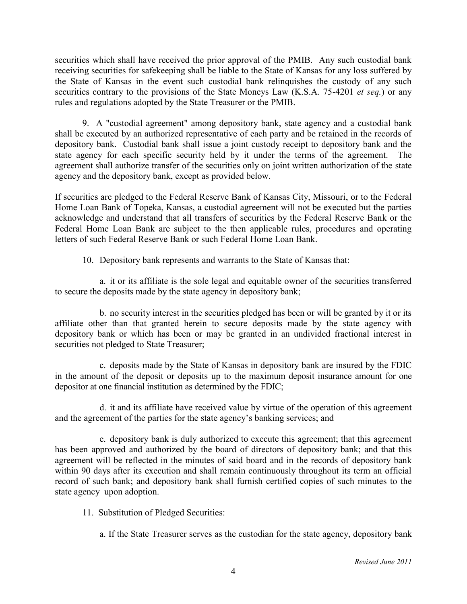securities which shall have received the prior approval of the PMIB. Any such custodial bank receiving securities for safekeeping shall be liable to the State of Kansas for any loss suffered by the State of Kansas in the event such custodial bank relinquishes the custody of any such securities contrary to the provisions of the State Moneys Law (K.S.A. 75-4201 *et seq.*) or any rules and regulations adopted by the State Treasurer or the PMIB.

9. A "custodial agreement" among depository bank, state agency and a custodial bank shall be executed by an authorized representative of each party and be retained in the records of depository bank. Custodial bank shall issue a joint custody receipt to depository bank and the state agency for each specific security held by it under the terms of the agreement. The agreement shall authorize transfer of the securities only on joint written authorization of the state agency and the depository bank, except as provided below.

If securities are pledged to the Federal Reserve Bank of Kansas City, Missouri, or to the Federal Home Loan Bank of Topeka, Kansas, a custodial agreement will not be executed but the parties acknowledge and understand that all transfers of securities by the Federal Reserve Bank or the Federal Home Loan Bank are subject to the then applicable rules, procedures and operating letters of such Federal Reserve Bank or such Federal Home Loan Bank.

10. Depository bank represents and warrants to the State of Kansas that:

a. it or its affiliate is the sole legal and equitable owner of the securities transferred to secure the deposits made by the state agency in depository bank;

b. no security interest in the securities pledged has been or will be granted by it or its affiliate other than that granted herein to secure deposits made by the state agency with depository bank or which has been or may be granted in an undivided fractional interest in securities not pledged to State Treasurer;

c. deposits made by the State of Kansas in depository bank are insured by the FDIC in the amount of the deposit or deposits up to the maximum deposit insurance amount for one depositor at one financial institution as determined by the FDIC;

d. it and its affiliate have received value by virtue of the operation of this agreement and the agreement of the parties for the state agency's banking services; and

e. depository bank is duly authorized to execute this agreement; that this agreement has been approved and authorized by the board of directors of depository bank; and that this agreement will be reflected in the minutes of said board and in the records of depository bank within 90 days after its execution and shall remain continuously throughout its term an official record of such bank; and depository bank shall furnish certified copies of such minutes to the state agency upon adoption.

11. Substitution of Pledged Securities:

a. If the State Treasurer serves as the custodian for the state agency, depository bank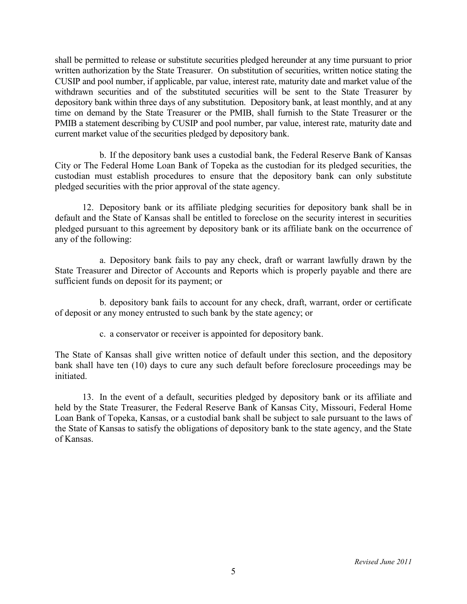shall be permitted to release or substitute securities pledged hereunder at any time pursuant to prior written authorization by the State Treasurer. On substitution of securities, written notice stating the CUSIP and pool number, if applicable, par value, interest rate, maturity date and market value of the withdrawn securities and of the substituted securities will be sent to the State Treasurer by depository bank within three days of any substitution. Depository bank, at least monthly, and at any time on demand by the State Treasurer or the PMIB, shall furnish to the State Treasurer or the PMIB a statement describing by CUSIP and pool number, par value, interest rate, maturity date and current market value of the securities pledged by depository bank.

b. If the depository bank uses a custodial bank, the Federal Reserve Bank of Kansas City or The Federal Home Loan Bank of Topeka as the custodian for its pledged securities, the custodian must establish procedures to ensure that the depository bank can only substitute pledged securities with the prior approval of the state agency.

12. Depository bank or its affiliate pledging securities for depository bank shall be in default and the State of Kansas shall be entitled to foreclose on the security interest in securities pledged pursuant to this agreement by depository bank or its affiliate bank on the occurrence of any of the following:

a. Depository bank fails to pay any check, draft or warrant lawfully drawn by the State Treasurer and Director of Accounts and Reports which is properly payable and there are sufficient funds on deposit for its payment; or

b. depository bank fails to account for any check, draft, warrant, order or certificate of deposit or any money entrusted to such bank by the state agency; or

c. a conservator or receiver is appointed for depository bank.

The State of Kansas shall give written notice of default under this section, and the depository bank shall have ten (10) days to cure any such default before foreclosure proceedings may be initiated.

13. In the event of a default, securities pledged by depository bank or its affiliate and held by the State Treasurer, the Federal Reserve Bank of Kansas City, Missouri, Federal Home Loan Bank of Topeka, Kansas, or a custodial bank shall be subject to sale pursuant to the laws of the State of Kansas to satisfy the obligations of depository bank to the state agency, and the State of Kansas.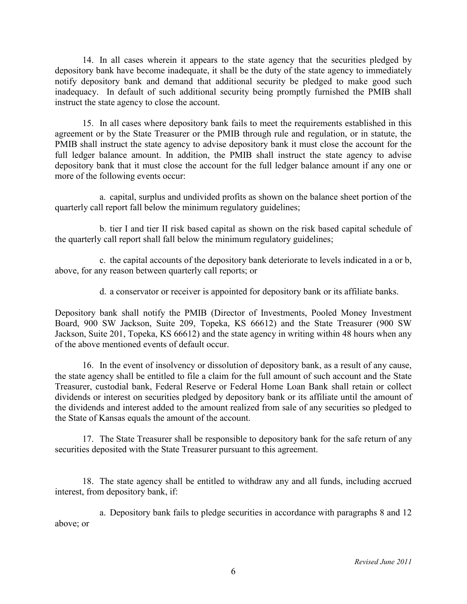14. In all cases wherein it appears to the state agency that the securities pledged by depository bank have become inadequate, it shall be the duty of the state agency to immediately notify depository bank and demand that additional security be pledged to make good such inadequacy. In default of such additional security being promptly furnished the PMIB shall instruct the state agency to close the account.

15. In all cases where depository bank fails to meet the requirements established in this agreement or by the State Treasurer or the PMIB through rule and regulation, or in statute, the PMIB shall instruct the state agency to advise depository bank it must close the account for the full ledger balance amount. In addition, the PMIB shall instruct the state agency to advise depository bank that it must close the account for the full ledger balance amount if any one or more of the following events occur:

a. capital, surplus and undivided profits as shown on the balance sheet portion of the quarterly call report fall below the minimum regulatory guidelines;

b. tier I and tier II risk based capital as shown on the risk based capital schedule of the quarterly call report shall fall below the minimum regulatory guidelines;

c. the capital accounts of the depository bank deteriorate to levels indicated in a or b, above, for any reason between quarterly call reports; or

d. a conservator or receiver is appointed for depository bank or its affiliate banks.

Depository bank shall notify the PMIB (Director of Investments, Pooled Money Investment Board, 900 SW Jackson, Suite 209, Topeka, KS 66612) and the State Treasurer (900 SW Jackson, Suite 201, Topeka, KS 66612) and the state agency in writing within 48 hours when any of the above mentioned events of default occur.

16. In the event of insolvency or dissolution of depository bank, as a result of any cause, the state agency shall be entitled to file a claim for the full amount of such account and the State Treasurer, custodial bank, Federal Reserve or Federal Home Loan Bank shall retain or collect dividends or interest on securities pledged by depository bank or its affiliate until the amount of the dividends and interest added to the amount realized from sale of any securities so pledged to the State of Kansas equals the amount of the account.

17. The State Treasurer shall be responsible to depository bank for the safe return of any securities deposited with the State Treasurer pursuant to this agreement.

18. The state agency shall be entitled to withdraw any and all funds, including accrued interest, from depository bank, if:

a. Depository bank fails to pledge securities in accordance with paragraphs 8 and 12 above; or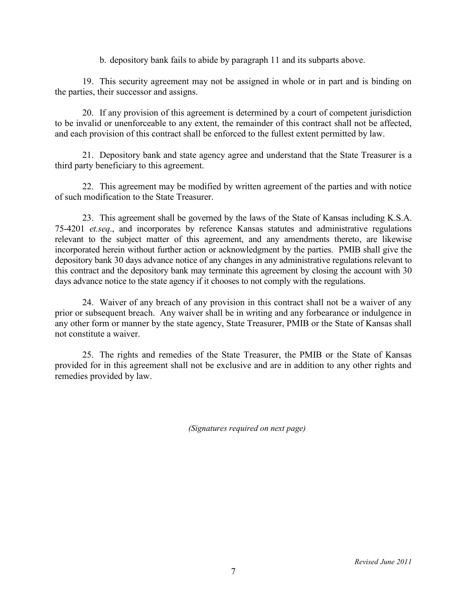b. depository bank fails to abide by paragraph 11 and its subparts above.

19. This security agreement may not be assigned in whole or in part and is binding on the parties, their successor and assigns.

20. If any provision of this agreement is determined by a court of competent jurisdiction to be invalid or unenforceable to any extent, the remainder of this contract shall not be affected, and each provision of this contract shall be enforced to the fullest extent permitted by law.

21. Depository bank and state agency agree and understand that the State Treasurer is a third party beneficiary to this agreement.

22. This agreement may be modified by written agreement of the parties and with notice of such modification to the State Treasurer.

23. This agreement shall be governed by the laws of the State of Kansas including K.S.A. 75-4201 *et.seq*., and incorporates by reference Kansas statutes and administrative regulations relevant to the subject matter of this agreement, and any amendments thereto, are likewise incorporated herein without further action or acknowledgment by the parties. PMIB shall give the depository bank 30 days advance notice of any changes in any administrative regulations relevant to this contract and the depository bank may terminate this agreement by closing the account with 30 days advance notice to the state agency if it chooses to not comply with the regulations.

24. Waiver of any breach of any provision in this contract shall not be a waiver of any prior or subsequent breach. Any waiver shall be in writing and any forbearance or indulgence in any other form or manner by the state agency, State Treasurer, PMIB or the State of Kansas shall not constitute a waiver.

25. The rights and remedies of the State Treasurer, the PMIB or the State of Kansas provided for in this agreement shall not be exclusive and are in addition to any other rights and remedies provided by law.

*(Signatures required on next page)*